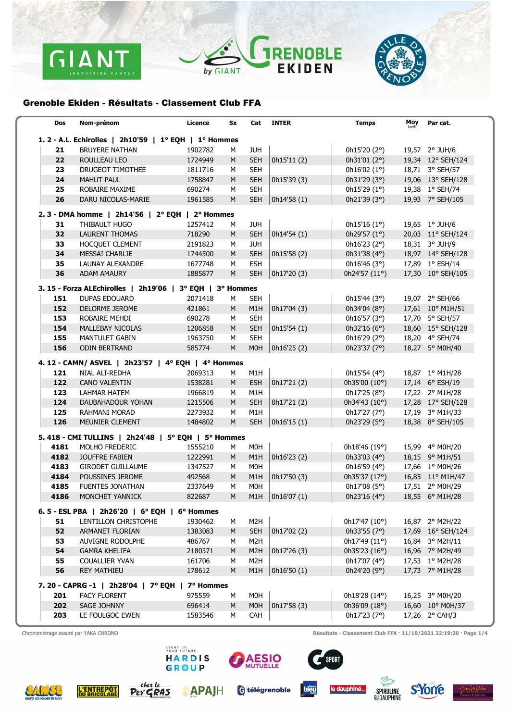





## Grenoble Ekiden - Résultats - Classement Club FFA

| Dos                                                   | Nom-prénom                                                | Licence   | Sx | Cat              | <b>INTER</b> | <b>Temps</b>           | Moy | Par cat.          |
|-------------------------------------------------------|-----------------------------------------------------------|-----------|----|------------------|--------------|------------------------|-----|-------------------|
| 1. 2 - A.L. Echirolles   2h10'59   1° EQH   1° Hommes |                                                           |           |    |                  |              |                        |     |                   |
| 21                                                    | <b>BRUYERE NATHAN</b>                                     | 1902782   | м  | <b>JUH</b>       |              | 0h15'20(2°)            |     | 19,57 2° JUH/6    |
| 22                                                    | ROULLEAU LEO                                              | 1724949   | M  | <b>SEH</b>       | 0h15'11 (2)  | 0h31'01(2°)            |     | 19,34 12° SEH/124 |
| 23                                                    | DRUGEOT TIMOTHEE                                          | 1811716   | м  | <b>SEH</b>       |              | 0h16'02(1°)            |     | 18,71 3° SEH/57   |
| 24                                                    | <b>MAHUT PAUL</b>                                         | 1758847   | M  | <b>SEH</b>       | 0h15'39 (3)  | 0h31'29 $(3°)$         |     | 19,06 13° SEH/128 |
| 25                                                    | ROBAIRE MAXIME                                            | 690274    | М  | <b>SEH</b>       |              | 0h15'29(1°)            |     | 19,38 1° SEH/74   |
| 26                                                    | DARU NICOLAS-MARIE                                        | 1961585   | M  | <b>SEH</b>       | 0h14'58(1)   | 0h21'39 $(3°)$         |     | 19,93 7° SEH/105  |
|                                                       | 2. 3 - DMA homme   2h14'56   2° EQH   2° Hommes           |           |    |                  |              |                        |     |                   |
| 31                                                    | THIBAULT HUGO                                             | 1257412   | м  | <b>JUH</b>       |              | 0h15'16(1°)            |     | 19,65 1° JUH/6    |
| 32                                                    | <b>LAURENT THOMAS</b>                                     | 718290    | M  | <b>SEH</b>       | 0h14'54(1)   | 0h29'57 (1°)           |     | 20,03 11° SEH/124 |
| 33                                                    | HOCQUET CLEMENT                                           | 2191823   | м  | <b>JUH</b>       |              | 0h16'23 (2°)           |     | 18,31 3° JUH/9    |
| 34                                                    | <b>MESSAI CHARLIE</b>                                     | 1744500   | M  | <b>SEH</b>       | 0h15'58 (2)  | 0h31'38 (4°)           |     | 18,97 14° SEH/128 |
| 35                                                    | LAUNAY ALEXANDRE                                          | 1677748   | M  | <b>ESH</b>       |              | 0h16'46(3°)            |     | 17,89 1° ESH/14   |
| 36                                                    | ADAM AMAURY                                               | 1885877   | M  | <b>SEH</b>       | 0h17'20 (3)  | 0h24'57 (11°)          |     | 17,30 10° SEH/105 |
|                                                       | 3. 15 - Forza ALEchirolles   2h19'06   3° EQH   3° Hommes |           |    |                  |              |                        |     |                   |
| 151                                                   | <b>DUPAS EDOUARD</b>                                      | 2071418   | М  | <b>SEH</b>       |              | 0h15'44(3°)            |     | 19,07 2° SEH/66   |
| 152                                                   | <b>DELORME JEROME</b>                                     | 421861    | M  | M1H              | 0h17'04 (3)  | 0h34'04 (8°)           |     | 17,61 10° M1H/51  |
| 153                                                   | ROBAIRE MEHDI                                             | 690278    | м  | <b>SEH</b>       |              | 0h16'57(3°)            |     | 17,70 5° SEH/57   |
| 154                                                   | MALLEBAY NICOLAS                                          | 1206858   | M  | <b>SEH</b>       | 0h15'54(1)   | 0h32'16 $(6°)$         |     | 18,60 15° SEH/128 |
| 155                                                   | MANTULET GABIN                                            | 1963750   | М  | <b>SEH</b>       |              | 0h16'29(2°)            |     | 18,20 4° SEH/74   |
| 156                                                   | <b>ODIN BERTRAND</b>                                      | 585774    | M  | <b>MOH</b>       | 0h16'25(2)   | 0h23'37 (7°)           |     | 18,27 5° M0H/40   |
|                                                       | 4. 12 - CAMN/ ASVEL   2h23'57   4° EQH   4° Hommes        |           |    |                  |              |                        |     |                   |
| 121                                                   | NIAL ALI-REDHA                                            | 2069313   | м  | M1H              |              | 0h15'54 (4°)           |     | 18,87 1° M1H/28   |
| 122                                                   | <b>CANO VALENTIN</b>                                      | 1538281   | M  | <b>ESH</b>       | 0h17'21 (2)  | 0h35'00 (10°)          |     | 17,14 6° ESH/19   |
| 123                                                   | <b>LAHMAR HATEM</b>                                       | 1966819   | м  | M1H              |              | 0h17'25(8°)            |     | 17,22 2° M1H/28   |
| 124                                                   | DAUBAHADOUR YOHAN                                         | 1215506   | M  | <b>SEH</b>       | 0h17'21 (2)  | 0h34'43 (10°)          |     | 17,28 17° SEH/128 |
| 125                                                   | RAHMANI MORAD                                             | 2273932   | М  | M1H              |              | 0h17'27 (7°)           |     | 17,19 3° M1H/33   |
| 126                                                   | MEUNIER CLEMENT                                           | 1484802   | M  | <b>SEH</b>       | 0h16'15(1)   | 0h23'29 $(5^{\circ})$  |     | 18,38 8° SEH/105  |
|                                                       | 5. 418 - CMI TULLINS   2h24'48   5° EQH   5° Hommes       |           |    |                  |              |                        |     |                   |
| 4181                                                  | MOLHO FREDERIC                                            | 1555210   | М  | M0H              |              | 0h18'46 (19°)          |     | 15,99 4° M0H/20   |
| 4182                                                  | JOUFFRE FABIEN                                            | 1222991   | M  | M1H              | 0h16'23 (2)  | 0h33'03 (4°)           |     | 18,15 9° M1H/51   |
| 4183                                                  | <b>GIRODET GUILLAUME</b>                                  | 1347527   | м  | M0H              |              | 0h16'59(4°)            |     | 17,66 1° M0H/26   |
| 4184                                                  | POUSSINES JEROME                                          | 492568    | M  | M1H              | 0h17'50(3)   | 0h35'37 (17°)          |     | 16,85 11° M1H/47  |
| 4185                                                  | <b>FUENTES JONATHAN</b>                                   | 2337649   | М  | M0H              |              | 0h17'08 $(5^{\circ})$  |     | 17,51 2° M0H/29   |
| 4186                                                  | MONCHET YANNICK                                           | 822687    | M  | M1H              | 0h16'07(1)   | 0h23'16 (4°)           |     | 18,55 6° M1H/28   |
|                                                       | 6.5 - ESL PBA   2h26'20   6° EQH   6° Hommes              |           |    |                  |              |                        |     |                   |
| 51                                                    | LENTILLON CHRISTOPHE                                      | 1930462   | М  | M2H              |              | 0h17'47(10°)           |     | 16,87 2° M2H/22   |
| 52                                                    | <b>ARMANET FLORIAN</b>                                    | 1383083   | M  | <b>SEH</b>       | 0h17'02 (2)  | 0h33'55 $(7°)$         |     | 17,69 16° SEH/124 |
| 53                                                    | AUVIGNE RODOLPHE                                          | 486767    | М  | M <sub>2</sub> H |              | 0h17'49 (11°)          |     | 16,84 3° M2H/11   |
| 54                                                    | <b>GAMRA KHELIFA</b>                                      | 2180371   | M  | M <sub>2</sub> H | 0h17'26 (3)  | 0h35'23 $(16^{\circ})$ |     | 16,96 7° M2H/49   |
| 55                                                    | <b>COUALLIER YVAN</b>                                     | 161706    | м  | M2H              |              | 0h17'07 (4°)           |     | 17,53 1° M2H/28   |
| 56                                                    | <b>REY MATHIEU</b>                                        | 178612    | M  | M1H              | 0h1650 (1)   | 0h24'20 (9°)           |     | 17,73 7° M1H/28   |
|                                                       |                                                           |           |    |                  |              |                        |     |                   |
|                                                       | 7. 20 - CAPRG -1   2h28'04   7° EQH                       | 7° Hommes |    |                  |              |                        |     |                   |
| 201                                                   | <b>FACY FLORENT</b>                                       | 975559    | М  | M0H              |              | 0h18'28 (14°)          |     | 16,25 3° M0H/20   |
| 202                                                   | <b>SAGE JOHNNY</b>                                        | 696414    | M  | M <sub>0</sub> H | 0h17'58 (3)  | 0h36'09 (18°)          |     | 16,60 10° M0H/37  |
| 203                                                   | LE FOULGOC EWEN                                           | 1583546   | м  | CAH              |              | 0h17'23(7°)            |     | 17,26 2° CAH/3    |

Chronométrage assuré par YAKA CHRONO **Chronométrage assuré par YAKA CHRONO** Résultats - Classement Club FFA · 11/10/2021 22:19:20 · Page 1/4

**L'ENTREPÔT**<br>DU BRICOLAGE



**GROUP** 

Per GRAS

**APAJH** 



C télégrenoble



SPORT





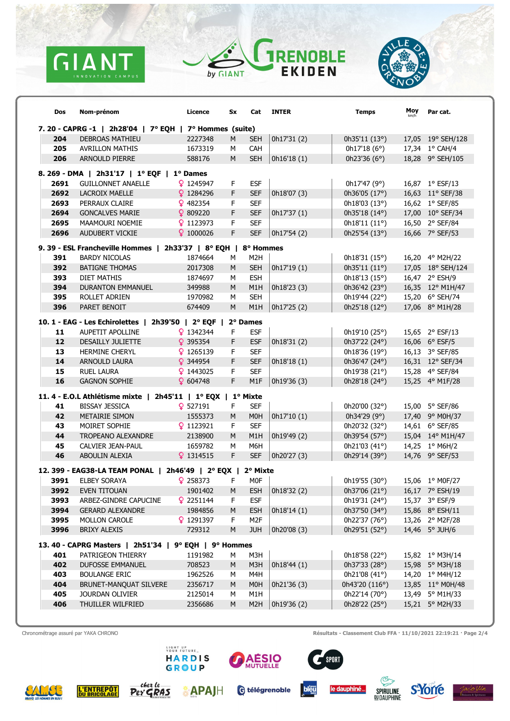





| Dos                                                     | Nom-prénom                                                                | Licence            | Sx      | Cat                            | <b>INTER</b>        | <b>Temps</b>                    | Moy | Par cat.                           |  |
|---------------------------------------------------------|---------------------------------------------------------------------------|--------------------|---------|--------------------------------|---------------------|---------------------------------|-----|------------------------------------|--|
| 7. 20 - CAPRG -1   2h28'04   7° EQH   7° Hommes (suite) |                                                                           |                    |         |                                |                     |                                 |     |                                    |  |
| 204                                                     | <b>DEBROAS MATHIEU</b>                                                    | 2227348            | M       | <b>SEH</b>                     | 0h17'31 (2)         | 0h35'11 (13°)                   |     | 17,05 19° SEH/128                  |  |
| 205                                                     | <b>AVRILLON MATHIS</b>                                                    | 1673319            | M       | <b>CAH</b>                     |                     | 0h17'18(6°)                     |     | 17,34 1° CAH/4                     |  |
| 206                                                     | <b>ARNOULD PIERRE</b>                                                     | 588176             | M       | <b>SEH</b>                     | 0h16'18 (1)         | 0h23'36 $(6^{\circ})$           |     | 18,28 9° SEH/105                   |  |
| 8. 269 - DMA   2h31'17   1º EQF   1º Dames              |                                                                           |                    |         |                                |                     |                                 |     |                                    |  |
| 2691                                                    | <b>GUILLONNET ANAELLE</b>                                                 | 91245947           | F.      | <b>ESF</b>                     |                     | 0h17'47 (9°)                    |     | 16,87 1° ESF/13                    |  |
| 2692                                                    | <b>LACROIX MAELLE</b>                                                     | 91284296           | F       | <b>SEF</b>                     | 0h18'07 (3)         | 0h36'05 (17°)                   |     | 16,63 11° SEF/38                   |  |
| 2693                                                    | PERRAUX CLAIRE                                                            | 9482354            | F.      | <b>SEF</b>                     |                     | 0h18'03 (13°)                   |     | 16,62 1° SEF/85                    |  |
| 2694                                                    | <b>GONCALVES MARIE</b>                                                    | 9809220            | F.      | <b>SEF</b>                     | 0h17'37(1)          | 0h35'18 (14°)                   |     | 17,00 10° SEF/34                   |  |
| 2695                                                    | MAAMOURI NOEMIE                                                           | 91123973           | F.      | <b>SEF</b>                     |                     | 0h18'11 (11°)                   |     | 16,50 2° SEF/84                    |  |
| 2696                                                    | AUDUBERT VICKIE                                                           | 91000026           | F.      | <b>SEF</b>                     | 0h17'54 (2)         | 0h25'54 (13°)                   |     | 16,66 7° SEF/53                    |  |
|                                                         | 9. 39 - ESL Francheville Hommes   2h33'37   8° EQH   8° Hommes            |                    |         |                                |                     |                                 |     |                                    |  |
| 391                                                     | <b>BARDY NICOLAS</b>                                                      | 1874664            | м       | M <sub>2</sub> H               |                     | 0h18'31(15°)                    |     | 16,20 4° M2H/22                    |  |
| 392                                                     | <b>BATIGNE THOMAS</b>                                                     | 2017308            | M       | <b>SEH</b>                     | 0h17'19(1)          | 0h35'11(11°)                    |     | 17,05 18° SEH/124                  |  |
| 393                                                     | DIET MATHIS                                                               | 1874697            | M       | <b>ESH</b>                     |                     | 0h18'13 (15°)                   |     | 16,47 2° ESH/9                     |  |
| 394                                                     | <b>DURANTON EMMANUEL</b>                                                  | 349988             | M       | M1H                            | 0h18'23 (3)         | 0h36'42 (23°)                   |     | 16,35 12° M1H/47                   |  |
| 395                                                     | ROLLET ADRIEN                                                             | 1970982            | M       | <b>SEH</b>                     |                     | 0h19'44 (22°)                   |     | 15,20 6° SEH/74                    |  |
| 396                                                     | PARET BENOIT                                                              | 674409             | M       | M1H                            | 0h17'25 (2)         | 0h25'18 (12°)                   |     | 17,06 8° M1H/28                    |  |
|                                                         |                                                                           |                    |         |                                |                     |                                 |     |                                    |  |
|                                                         | 10. 1 - EAG - Les Echirolettes   2h39'50   2° EQF                         |                    |         | 2° Dames                       |                     |                                 |     |                                    |  |
| 11                                                      | AUPETIT APOLLINE                                                          | 91342344           | F.      | <b>ESF</b>                     |                     | 0h19'10 (25°)                   |     | 15,65 2° ESF/13                    |  |
| 12                                                      | <b>DESAILLY JULIETTE</b>                                                  | 9395354            | F.      | <b>ESF</b>                     | 0h18'31 (2)         | 0h37'22 (24°)                   |     | 16,06 $6^{\circ}$ ESF/5            |  |
| 13                                                      | HERMINE CHERYL                                                            | 91265139           | F.      | <b>SEF</b>                     |                     | 0h18'36 (19°)                   |     | 16,13 3° SEF/85                    |  |
| 14                                                      | ARNOULD LAURA                                                             | 9344954            | F.      | <b>SEF</b>                     | 0h18'18 (1)         | 0h36'47 (24°)                   |     | 16,31 12° SEF/34                   |  |
| 15<br>16                                                | <b>RUEL LAURA</b><br><b>GAGNON SOPHIE</b>                                 | 9143025<br>9604748 | F.<br>F | <b>SEF</b><br>M <sub>1</sub> F | 0h19'36 (3)         | 0h19'38 (21°)                   |     | 15,28 4° SEF/84                    |  |
|                                                         |                                                                           |                    |         |                                |                     | 0h28'18 (24°)                   |     | 15,25 4° M1F/28                    |  |
|                                                         | 11. 4 - E.O.L Athlétisme mixte   2h45'11   1º EQX   1º Mixte              |                    |         |                                |                     |                                 |     |                                    |  |
| 41                                                      | <b>BISSAY JESSICA</b>                                                     | 9527191            | F.      | <b>SEF</b>                     |                     | 0h20'00 (32°)                   |     | 15,00 5° SEF/86                    |  |
| 42                                                      | METAIRIE SIMON                                                            | 1555373            | M       | <b>MOH</b>                     | 0h17'10(1)          | 0h34'29 (9°)                    |     | 17,40 9° M0H/37                    |  |
| 43                                                      | MOIRET SOPHIE                                                             | 91123921           | F.      | <b>SEF</b>                     |                     | 0h20'32 (32°)                   |     | 14,61 6° SEF/85                    |  |
| 44                                                      | TROPEANO ALEXANDRE                                                        | 2138900            | M       | M1H                            | 0h19'49 (2)         | 0h39'54 (57°)                   |     | 15,04 14° M1H/47                   |  |
| 45                                                      | CALVIER JEAN-PAUL                                                         | 1659782            | м       | M6H                            |                     | 0h21'03 (41°)                   |     | 14,25 1° M6H/2                     |  |
| 46                                                      | ABOULIN ALEXIA                                                            | 91314515           | F       | <b>SEF</b>                     | 0h20'27 (3)         | 0h29'14 (39°)                   |     | 14,76 9° SEF/53                    |  |
|                                                         | 12. 399 - EAG38-LA TEAM PONAL   2h46'49   2º EQX                          |                    |         | 2° Mixte                       |                     |                                 |     |                                    |  |
| 3991                                                    | <b>ELBEY SORAYA</b>                                                       | 9258373            | F.      | M0F                            |                     | 0h19'55 (30°)                   |     | 15,06 1° M0F/27                    |  |
|                                                         | 3992 EVEN TITOUAN                                                         | 1901402            | M       |                                | ESH $  0h18'32 (2)$ | 0h37'06 (21°)  16,17  7° ESH/19 |     |                                    |  |
| 3993                                                    | ARBEZ-GINDRE CAPUCINE                                                     | 92251144           | F.      | <b>ESF</b>                     |                     | 0h19'31 (24°)                   |     | 15,37 3° ESF/9                     |  |
| 3994                                                    | <b>GERARD ALEXANDRE</b>                                                   | 1984856            | M       | <b>ESH</b>                     | 0h18'14(1)          | 0h37'50 (34°)                   |     | 15,86 8° ESH/11                    |  |
| 3995                                                    | <b>MOLLON CAROLE</b>                                                      | 91291397           | F.      | M <sub>2F</sub>                |                     | 0h22'37 (76°)                   |     | 13,26 2° M2F/28                    |  |
| 3996                                                    | <b>BRIXY ALEXIS</b>                                                       | 729312             | M       | <b>JUH</b>                     | 0h20'08 (3)         | 0h29'51 (52°)                   |     | 14,46 5° JUH/6                     |  |
|                                                         |                                                                           |                    |         |                                |                     |                                 |     |                                    |  |
| 401                                                     | 13.40 - CAPRG Masters   2h51'34   9° EQH   9° Hommes<br>PATRIGEON THIERRY | 1191982            | М       | M3H                            |                     | 0h18'58 (22°)                   |     | 15,82 1° M3H/14                    |  |
| 402                                                     | <b>DUFOSSE EMMANUEL</b>                                                   | 708523             | M       | M3H                            | 0h18'44 (1)         | 0h37'33 (28°)                   |     | 15,98 5° M3H/18                    |  |
| 403                                                     | <b>BOULANGE ERIC</b>                                                      | 1962526            | м       | M4H                            |                     | 0h21'08 (41°)                   |     | 14,20 1° M4H/12                    |  |
| 404                                                     | BRUNET-MANQUAT SILVERE                                                    | 2356717            | M       | M0H                            | 0h21'36 (3)         | 0h43'20 (116°)                  |     | 13,85 11° M0H/48                   |  |
|                                                         |                                                                           |                    |         | M1H                            |                     |                                 |     |                                    |  |
| 405                                                     | JOURDAN OLIVIER                                                           | 2125014            | м<br>M  |                                |                     | 0h22'14 (70°)                   |     | 13,49 5° M1H/33<br>15,21 5° M2H/33 |  |
| 406                                                     | THUILLER WILFRIED                                                         | 2356686            |         | M <sub>2</sub> H               | 0h19'36 (2)         | 0h28'22 (25°)                   |     |                                    |  |

Chronométrage assuré par YAKA CHRONO **Chronométrage assuré par YAKA CHRONO** Résultats - Classement Club FFA · 11/10/2021 22:19:21 · Page 2/4

**SAMS** 

**L'ENTREPÔT** 

**WOME WTURE\_<br>HARDIS<br>GROUP** 

**APAJH** 

chez i

Per GRAS



G télégrenoble



 $s$ Port





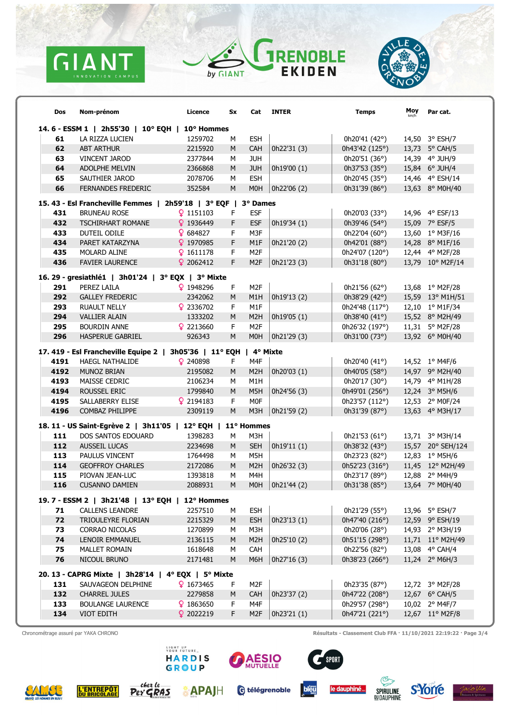





| Dos                                            | Nom-prénom                                                               | Licence  | Sx | Cat              | <b>INTER</b> | <b>Temps</b>    | Moy | Par cat.          |  |  |
|------------------------------------------------|--------------------------------------------------------------------------|----------|----|------------------|--------------|-----------------|-----|-------------------|--|--|
| 14.6 - ESSM 1   2h55'30   10° EQH   10° Hommes |                                                                          |          |    |                  |              |                 |     |                   |  |  |
| 61                                             | LA RIZZA LUCIEN                                                          | 1259702  | м  | <b>ESH</b>       |              | 0h20'41 (42°)   |     | 14,50 3° ESH/7    |  |  |
| 62                                             | <b>ABT ARTHUR</b>                                                        | 2215920  | M  | CAH              | 0h22'31 (3)  | 0h43'42 (125°)  |     | 13,73 5° CAH/5    |  |  |
| 63                                             | <b>VINCENT JAROD</b>                                                     | 2377844  | м  | <b>JUH</b>       |              | 0h20'51 (36°)   |     | 14,39 4° JUH/9    |  |  |
| 64                                             | ADOLPHE MELVIN                                                           | 2366868  | M  | <b>JUH</b>       | 0h19'00 (1)  | 0h37'53 (35°)   |     | 15,84 6° JUH/4    |  |  |
| 65                                             | SAUTHIER JAROD                                                           | 2078706  | м  | <b>ESH</b>       |              | 0h20'45 (35°)   |     | 14,46 4° ESH/14   |  |  |
| 66                                             | <b>FERNANDES FREDERIC</b>                                                | 352584   | M  | <b>MOH</b>       | 0h22'06 (2)  | 0h31'39 (86°)   |     | 13,63 8° M0H/40   |  |  |
|                                                | 15.43 - Esl Francheville Femmes   2h59'18   3° EQF   3° Dames            |          |    |                  |              |                 |     |                   |  |  |
| 431                                            | <b>BRUNEAU ROSE</b>                                                      | 91151103 | F. | <b>ESF</b>       |              | 0h20'03 (33°)   |     | 14,96 4° ESF/13   |  |  |
| 432                                            | <b>TSCHIRHART ROMANE</b>                                                 | 91936449 | F  | <b>ESF</b>       | 0h19'34 (1)  | 0h39'46 (54°)   |     | 15,09 7° ESF/5    |  |  |
| 433                                            | DUTEIL ODILE                                                             | 9684827  | F. | M3F              |              | 0h22'04 (60°)   |     | 13,60 1° M3F/16   |  |  |
| 434                                            | PARET KATARZYNA                                                          | 91970985 | F  | M <sub>1</sub> F | 0h21'20 (2)  | 0h42'01 (88°)   |     | 14,28 8° M1F/16   |  |  |
| 435                                            | MOLARD ALINE                                                             | 91611178 | F. | M <sub>2F</sub>  |              | 0h24'07 (120°)  |     | 12,44 4° M2F/28   |  |  |
| 436                                            | <b>FAVIER LAURENCE</b>                                                   | 92062412 | F  | M <sub>2F</sub>  | 0h21'23 (3)  | 0h31'18 (80°)   |     | 13,79 10° M2F/14  |  |  |
|                                                | 16. 29 - gresiathlé1   3h01'24   3° EQX   3° Mixte                       |          |    |                  |              |                 |     |                   |  |  |
| 291                                            | PEREZ LAILA                                                              | 91948296 | F. | M <sub>2</sub> F |              | 0h21'56 (62°)   |     | 13,68 1° M2F/28   |  |  |
| 292                                            | <b>GALLEY FREDERIC</b>                                                   | 2342062  | M  | M <sub>1</sub> H | 0h19'13 (2)  | 0h38'29 (42°)   |     | 15,59 13° M1H/51  |  |  |
| 293                                            | <b>RUAULT NELLY</b>                                                      | 92336702 | F. | M1F              |              | 0h24'48 (117°)  |     | 12,10 1° M1F/34   |  |  |
| 294                                            | <b>VALLIER ALAIN</b>                                                     | 1333202  | M  | M <sub>2</sub> H | 0h19'05 (1)  | 0h38'40 (41°)   |     | 15,52 8° M2H/49   |  |  |
| 295                                            | <b>BOURDIN ANNE</b>                                                      | 92213660 | F. | M <sub>2</sub> F |              | 0h26'32 (197°)  |     | 11,31 5° M2F/28   |  |  |
| 296                                            | <b>HASPERUE GABRIEL</b>                                                  | 926343   | M  | <b>MOH</b>       | 0h21'29 (3)  | 0h31'00 (73°)   |     | 13,92 6° M0H/40   |  |  |
|                                                |                                                                          |          |    |                  |              |                 |     |                   |  |  |
|                                                | 17. 419 - Esl Francheville Equipe 2   3h05'36   11° EQH   4° Mixte       |          |    |                  |              |                 |     |                   |  |  |
| 4191                                           | <b>HAEGL NATHALIDE</b>                                                   | 9240898  | F  | M4F              |              | 0h20'40 (41°)   |     | 14,52 1° M4F/6    |  |  |
| 4192                                           | MUNOZ BRIAN                                                              | 2195082  | M  | M <sub>2</sub> H | 0h20'03 (1)  | 0h40'05 (58°)   |     | 14,97 9° M2H/40   |  |  |
| 4193                                           | MAISSE CEDRIC                                                            | 2106234  | м  | M1H              |              | 0h20'17 (30°)   |     | 14,79 4° M1H/28   |  |  |
| 4194                                           | ROUSSEL ERIC                                                             | 1799840  | M  | M5H              | 0h24'56 (3)  | 0h49'01 (256°)  |     | 12,24 3° M5H/6    |  |  |
| 4195                                           | SALLABERRY ELISE                                                         | 92194183 | F. | <b>MOF</b>       |              | 0h23'57 (112°)  |     | 12,53 2° M0F/24   |  |  |
| 4196                                           | COMBAZ PHILIPPE                                                          | 2309119  | M  | M3H              | 0h21'59 (2)  | 0h31'39 (87°)   |     | 13,63 4° M3H/17   |  |  |
|                                                | 18. 11 - US Saint-Egrève 2   3h11'05   12° EQH   11° Hommes              |          |    |                  |              |                 |     |                   |  |  |
| 111                                            | DOS SANTOS EDOUARD                                                       | 1398283  | м  | M3H              |              | 0h21'53 $(61°)$ |     | 13,71 3° M3H/14   |  |  |
| 112                                            | AUSSEIL LUCAS                                                            | 2234698  | M  | <b>SEH</b>       | 0h19'11(1)   | 0h38'32 (43°)   |     | 15,57 20° SEH/124 |  |  |
| 113                                            | PAULUS VINCENT                                                           | 1764498  | M  | M5H              |              | 0h23'23 (82°)   |     | 12,83 1° M5H/6    |  |  |
| 114                                            | <b>GEOFFROY CHARLES</b>                                                  | 2172086  | M  | M <sub>2</sub> H | 0h26'32 (3)  | 0h52'23 (316°)  |     | 11,45 12° M2H/49  |  |  |
| 115                                            | PIOVAN JEAN-LUC                                                          | 1393818  | M  | M4H              |              | 0h23'17 (89°)   |     | 12,88 2° M4H/9    |  |  |
| 116                                            | <b>CUSANNO DAMIEN</b>                                                    | 2088931  | M  | M0H              | 0h21'44 (2)  | 0h31'38 (85°)   |     | 13.64 7° M0H/40   |  |  |
|                                                | 19. 7 - ESSM 2   3h21'48   13° EQH   12° Hommes                          |          |    |                  |              |                 |     |                   |  |  |
| 71                                             | <b>CALLENS LEANDRE</b>                                                   | 2257510  | М  | <b>ESH</b>       |              | 0h21'29 (55°)   |     | 13,96 5° ESH/7    |  |  |
| 72                                             | TRIOULEYRE FLORIAN                                                       | 2215329  | M  | <b>ESH</b>       | 0h23'13 (1)  | 0h47'40 (216°)  |     | 12,59 9° ESH/19   |  |  |
| 73                                             | <b>CORRAO NICOLAS</b>                                                    | 1270899  | м  | M3H              |              | 0h20'06 (28°)   |     | 14,93 2° M3H/19   |  |  |
| 74                                             | LENOIR EMMANUEL                                                          | 2136115  | M  | M <sub>2</sub> H | 0h25'10 (2)  | 0h51'15 (298°)  |     | 11,71 11° M2H/49  |  |  |
| 75                                             | <b>MALLET ROMAIN</b>                                                     | 1618648  | M  | <b>CAH</b>       |              | 0h22'56 (82°)   |     | 13,08 4° CAH/4    |  |  |
| 76                                             | NICOUL BRUNO                                                             | 2171481  | M  | M6H              | 0h27'16 (3)  | 0h38'23 (266°)  |     | 11,24 2° M6H/3    |  |  |
|                                                |                                                                          |          |    |                  |              |                 |     |                   |  |  |
| 131                                            | 20. 13 - CAPRG Mixte   3h28'14   4° EQX   5° Mixte<br>SAUVAGEON DELPHINE | 91673465 | F. | M <sub>2</sub> F |              | 0h23'35 (87°)   |     | 12,72 3° M2F/28   |  |  |
| 132                                            | <b>CHARREL JULES</b>                                                     | 2279858  | M  | <b>CAH</b>       | 0h23'37 (2)  | 0h47'22 (208°)  |     | 12,67 6° CAH/5    |  |  |
|                                                |                                                                          |          | F. | M4F              |              | 0h29'57 (298°)  |     |                   |  |  |
| 133                                            | <b>BOULANGE LAURENCE</b>                                                 | 91863650 | F  |                  |              |                 |     | 10,02 2° M4F/7    |  |  |
| 134                                            | VIOT EDITH                                                               | 92022219 |    | M <sub>2F</sub>  | 0h23'21 (1)  | 0h47'21 (221°)  |     | 12,67 11° M2F/8   |  |  |

Chronométrage assuré par YAKA CHRONO **Chronométrage assuré par YAKA CHRONO** Résultats - Classement Club FFA · 11/10/2021 22:19:22 · Page 3/4

**L'ENTREPÔT** 



**APAIH** 

-chez Le

Per GRAS



G télégrenoble



 $s$ Port $\overline{\phantom{s}}$